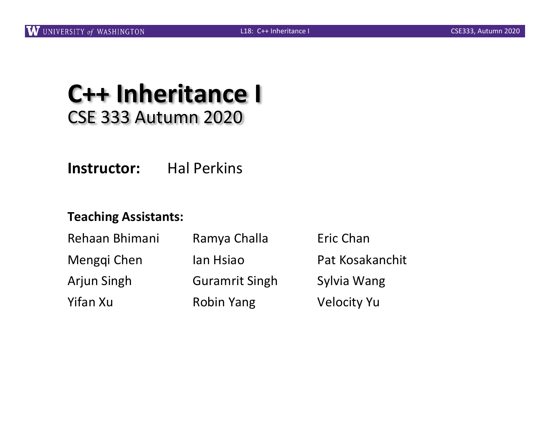#### **C++ Inheritance I** CSE 333 Autumn 2020

**Instructor:** Hal Perkins

#### **Teaching Assistants:**

| Rehaan Bhimani | Ramya Challa          | Eric Chan          |
|----------------|-----------------------|--------------------|
| Menggi Chen    | lan Hsiao             | Pat Kosakanchit    |
| Arjun Singh    | <b>Guramrit Singh</b> | Sylvia Wang        |
| Yifan Xu       | <b>Robin Yang</b>     | <b>Velocity Yu</b> |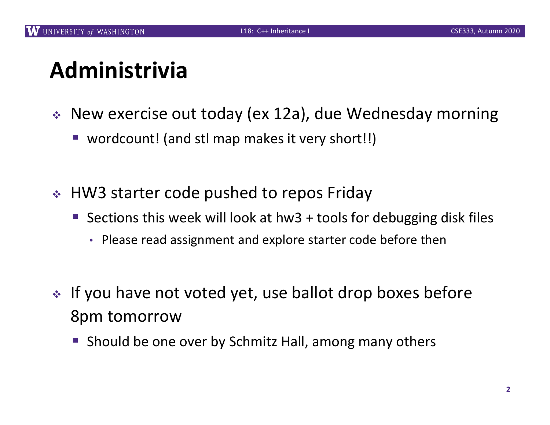# **Administrivia**

- $\div$  New exercise out today (ex 12a), due Wednesday morning
	- wordcount! (and stl map makes it very short!!)
- ↓ HW3 starter code pushed to repos Friday
	- Sections this week will look at hw3 + tools for debugging disk files
		- Please read assignment and explore starter code before then
- $\cdot$  If you have not voted yet, use ballot drop boxes before 8pm tomorrow
	- Should be one over by Schmitz Hall, among many others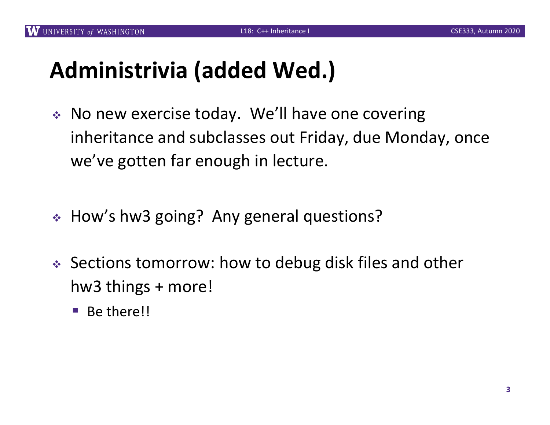# **Administrivia (added Wed.)**

- $\bullet$  No new exercise today. We'll have one covering inheritance and subclasses out Friday, due Monday, once we've gotten far enough in lecture.
- ↓ How's hw3 going? Any general questions?
- $\div$  Sections tomorrow: how to debug disk files and other hw3 things + more!
	- Be there!!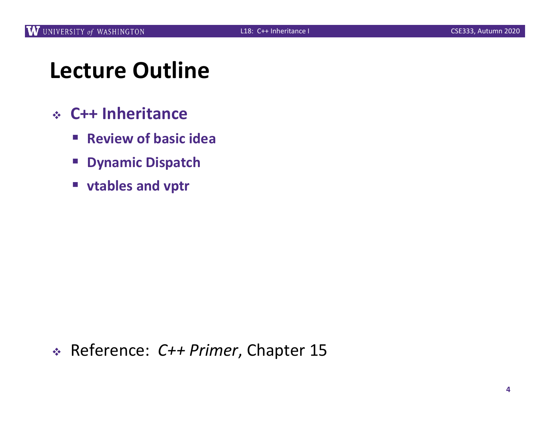# **Lecture Outline**

- <sup>v</sup> **C++ Inheritance**
	- § **Review of basic idea**
	- § **Dynamic Dispatch**
	- § **vtables and vptr**

#### <sup>v</sup> Reference: *C++ Primer*, Chapter 15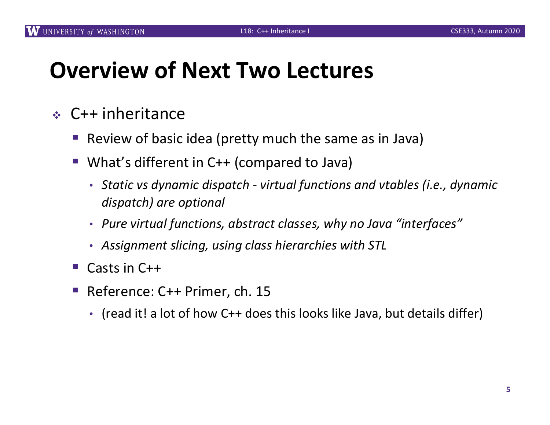## **Overview of Next Two Lectures**

- $\div$  C++ inheritance
	- Review of basic idea (pretty much the same as in Java)
	- What's different in C++ (compared to Java)
		- *Static vs dynamic dispatch - virtual functions and vtables (i.e., dynamic dispatch) are optional*
		- *Pure virtual functions, abstract classes, why no Java "interfaces"*
		- *Assignment slicing, using class hierarchies with STL*
	- § Casts in C++
	- § Reference: C++ Primer, ch. 15
		- (read it! a lot of how C++ does this looks like Java, but details differ)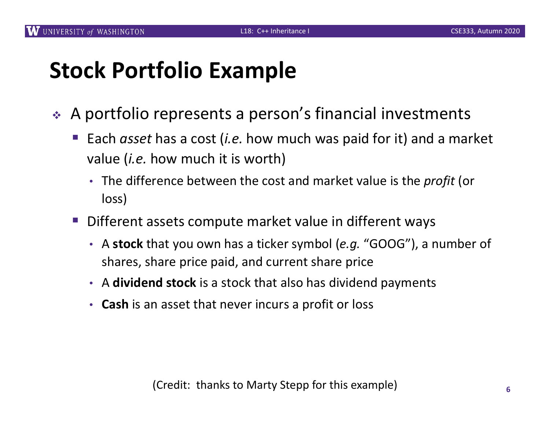# **Stock Portfolio Example**

- ◆ A portfolio represents a person's financial investments
	- § Each *asset* has a cost (*i.e.* how much was paid for it) and a market value (*i.e.* how much it is worth)
		- The difference between the cost and market value is the *profit* (or loss)
	- § Different assets compute market value in different ways
		- A **stock** that you own has a ticker symbol (*e.g.* "GOOG"), a number of shares, share price paid, and current share price
		- A **dividend stock** is a stock that also has dividend payments
		- **Cash** is an asset that never incurs a profit or loss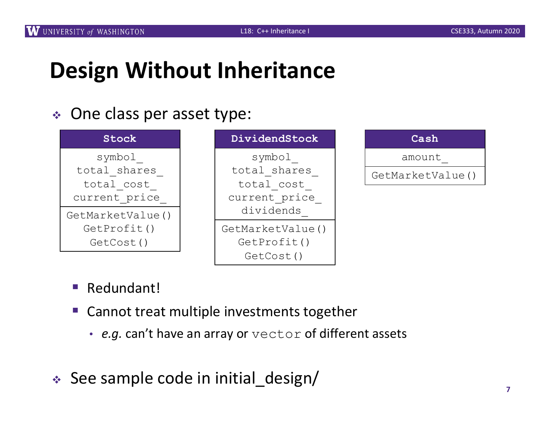# **Design Without Inheritance**

#### • One class per asset type:



| Cash             |  |  |
|------------------|--|--|
| amount           |  |  |
| GetMarketValue() |  |  |
|                  |  |  |
|                  |  |  |

- Redundant!
- § Cannot treat multiple investments together
	- *e.g.* can't have an array or vector of different assets
- $\div$  See sample code in initial design/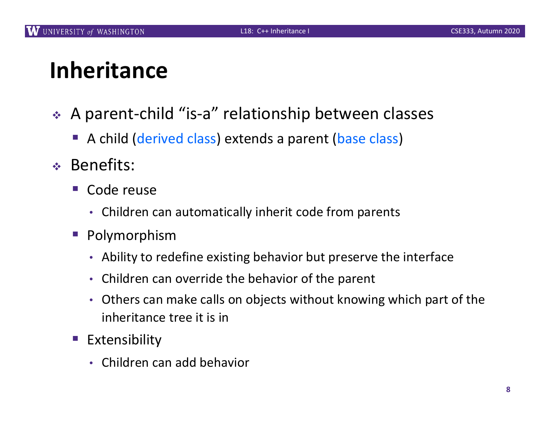# **Inheritance**

- <sup>v</sup> A parent-child "is-a" relationship between classes
	- A child (derived class) extends a parent (base class)
- <sup>v</sup> Benefits:
	- § Code reuse
		- Children can automatically inherit code from parents
	- Polymorphism
		- Ability to redefine existing behavior but preserve the interface
		- Children can override the behavior of the parent
		- Others can make calls on objects without knowing which part of the inheritance tree it is in
	- **Extensibility** 
		- Children can add behavior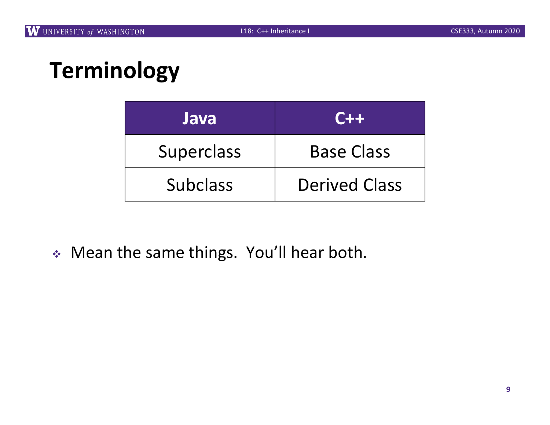# **Terminology**

| Java              | $C++$                |
|-------------------|----------------------|
| <b>Superclass</b> | <b>Base Class</b>    |
| <b>Subclass</b>   | <b>Derived Class</b> |

<sup>v</sup> Mean the same things. You'll hear both.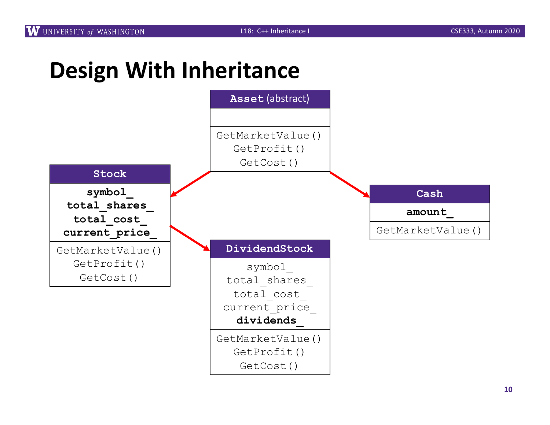## **Design With Inheritance**

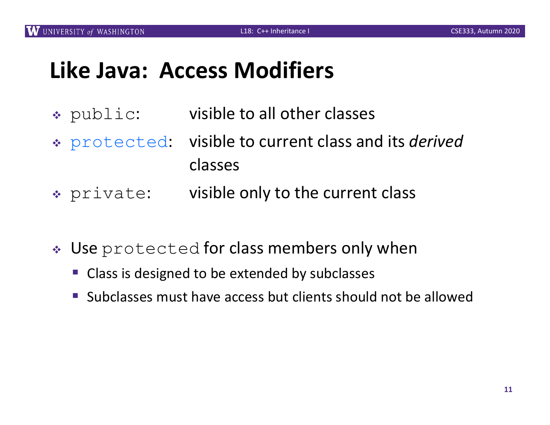#### **Like Java: Access Modifiers**

- \* public: visible to all other classes
- <sup>v</sup> protected: visible to current class and its *derived* classes
- \* private: visible only to the current class
- Use protected for class members only when
	- Class is designed to be extended by subclasses
	- Subclasses must have access but clients should not be allowed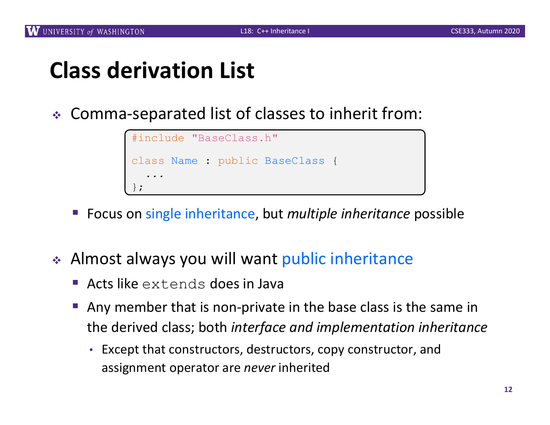# **Class derivation List**

<sup>v</sup> Comma-separated list of classes to inherit from:

```
#include "BaseClass.h"
class Name : public BaseClass {
  ...
};
```
- § Focus on single inheritance, but *multiple inheritance* possible
- ◆ Almost always you will want public inheritance
	- § Acts like extends does in Java
	- § Any member that is non-private in the base class is the same in the derived class; both *interface and implementation inheritance*
		- Except that constructors, destructors, copy constructor, and assignment operator are *never* inherited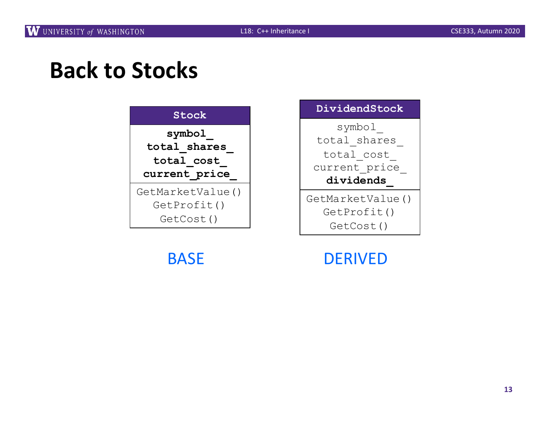### **Back to Stocks**





BASE DERIVED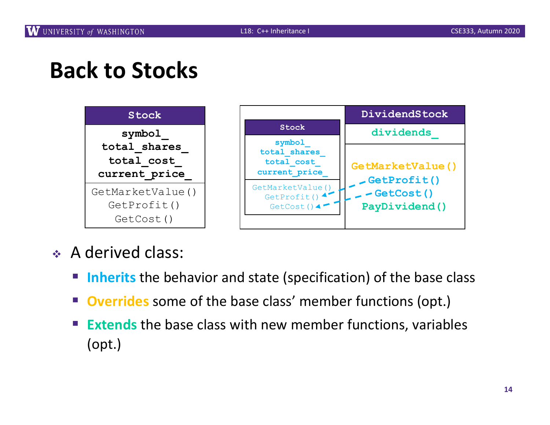## **Back to Stocks**



- A derived class:
	- Inherits the behavior and state (specification) of the base class
	- **Overrides** some of the base class' member functions (opt.)
	- **Extends** the base class with new member functions, variables (opt.)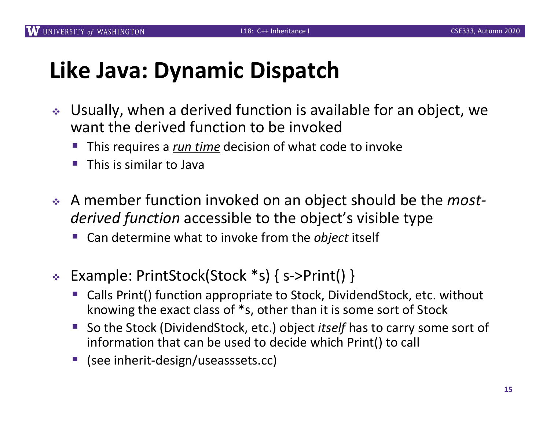## **Like Java: Dynamic Dispatch**

- ↓ Usually, when a derived function is available for an object, we want the derived function to be invoked
	- § This requires a *run time* decision of what code to invoke
	- § This is similar to Java
- ◆ A member function invoked on an object should be the *most derived function* accessible to the object's visible type
	- § Can determine what to invoke from the *object* itself
- <sup>v</sup> Example: PrintStock(Stock \*s) { s->Print() }
	- § Calls Print() function appropriate to Stock, DividendStock, etc. without knowing the exact class of \*s, other than it is some sort of Stock
	- § So the Stock (DividendStock, etc.) object *itself* has to carry some sort of information that can be used to decide which Print() to call
	- (see inherit-design/useasssets.cc)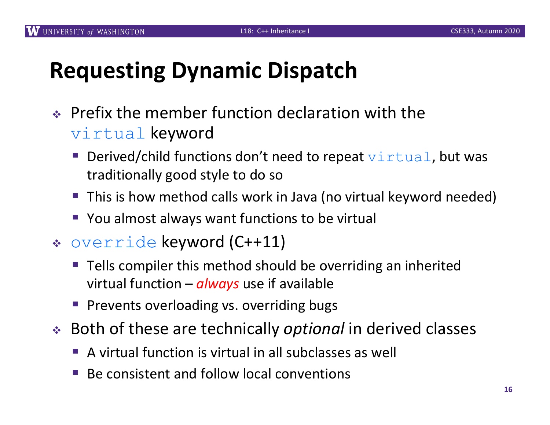# **Requesting Dynamic Dispatch**

- $\div$  Prefix the member function declaration with the virtual keyword
	- Derived/child functions don't need to repeat  $\forall$ irtual, but was traditionally good style to do so
	- This is how method calls work in Java (no virtual keyword needed)
	- You almost always want functions to be virtual
- <sup>v</sup> override keyword (C++11)
	- § Tells compiler this method should be overriding an inherited virtual function – *always* use if available
	- Prevents overloading vs. overriding bugs
- ◆ Both of these are technically *optional* in derived classes
	- § A virtual function is virtual in all subclasses as well
	- § Be consistent and follow local conventions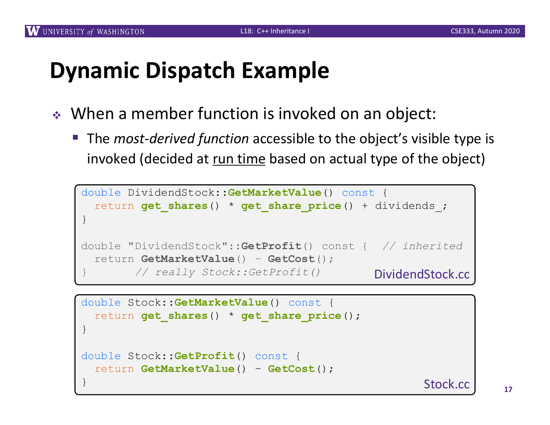#### **Dynamic Dispatch Example**

- $\triangleleft$  When a member function is invoked on an object:
	- The *most-derived function* accessible to the object's visible type is invoked (decided at run time based on actual type of the object)

```
double DividendStock::GetMarketValue() const {
 return get_shares() * get_share_price() + dividends_;
}
double "DividendStock"::GetProfit() const { // inherited
 return GetMarketValue() – GetCost(); 
        } // really Stock::GetProfit()
                                             DividendStock.cc
```

```
double Stock::GetMarketValue() const {
 return get_shares() * get_share_price();
}
double Stock::GetProfit() const {
  return GetMarketValue() – GetCost();
}
```
Stock.cc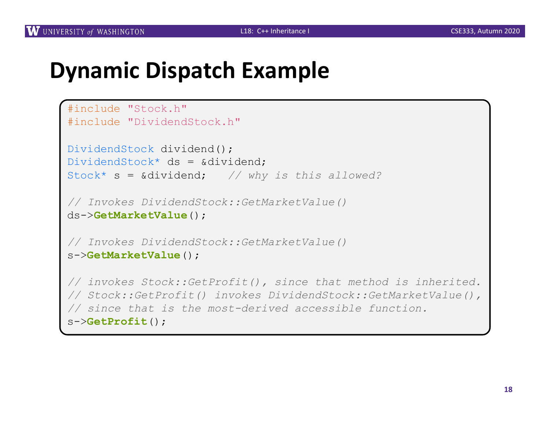#### **Dynamic Dispatch Example**

```
#include "Stock.h"
#include "DividendStock.h"
DividendStock dividend();
DividendStock* ds = &dividend;Stock* s = &dividend; // why is this allowed?
// Invokes DividendStock::GetMarketValue()
ds->GetMarketValue();
// Invokes DividendStock::GetMarketValue()
s->GetMarketValue();
// invokes Stock::GetProfit(), since that method is inherited. 
// Stock::GetProfit() invokes DividendStock::GetMarketValue(), 
// since that is the most-derived accessible function.
s->GetProfit();
```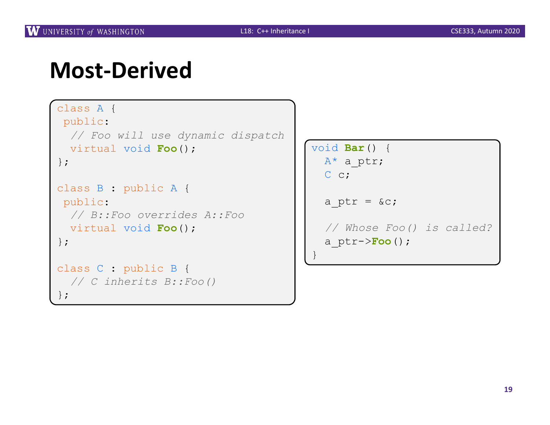#### **Most-Derived**

```
class A {
public:
 // Foo will use dynamic dispatch
 virtual void Foo();
};
class B : public A {
public:
 // B::Foo overrides A::Foo
 virtual void Foo();
};
class C : public B {
 // C inherits B::Foo()
};
```

```
void Bar() {
  A^* a ptr;
  C c;
```

```
a ptr = \&c;
```
}

*// Whose Foo() is called?* a\_ptr->**Foo**();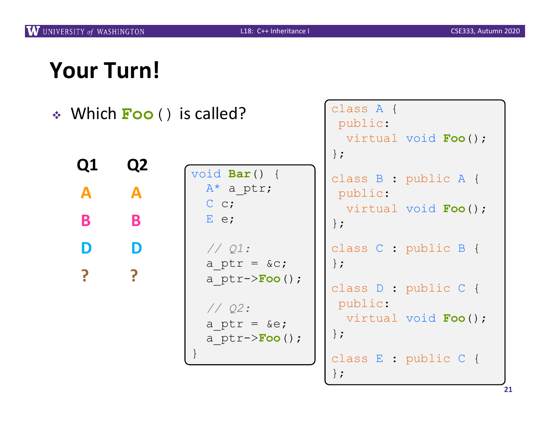class A {

# **Your Turn!**

| $\triangleleft$ Which <b>Foo</b> () is called? |                |                                                 | class A {<br>public:                                             |
|------------------------------------------------|----------------|-------------------------------------------------|------------------------------------------------------------------|
|                                                |                |                                                 | virtual void Foo();<br>$\}$ ;                                    |
| Q1                                             | Q <sub>2</sub> | void $Bar() \{$                                 | class B : public A {                                             |
| A                                              | A              | $A^*$ a ptr;                                    | public:                                                          |
| B                                              | B              | $C_{c}$<br>$E$ e;                               | virtual void Foo();<br>$\}$ ;                                    |
|                                                |                | // Q1:                                          | class C : public B {                                             |
|                                                |                | a ptr = $\&c$ ;<br>a $ptr->Foo()$ ;             | $\}$ ;<br>class D : public C {                                   |
|                                                |                | $//$ Q2:<br>a ptr = $\&e$ ;<br>a $ptr->Foo()$ ; | public:<br>virtual void Foo();<br>$\}$ ;<br>class E : public C { |

};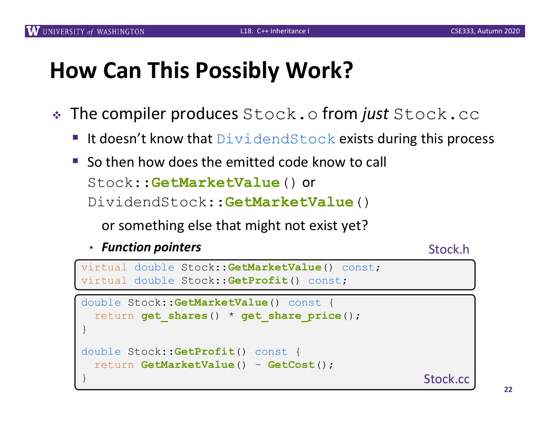# **How Can This Possibly Work?**

- **Example is The compiler produces** Stock.of **rom** *just* Stock.cc
	- **EXTE It doesn't know that DividendStock exists during this process**
	- $\blacksquare$  So then how does the emitted code know to call Stock::**GetMarketValue**() or DividendStock::**GetMarketValue**()

or something else that might not exist yet?

• *Function pointers*

#### Stock.h

```
virtual double Stock::GetMarketValue() const;
virtual double Stock::GetProfit() const;
```

```
double Stock::GetMarketValue() const {
 return get_shares() * get_share_price();
}
double Stock::GetProfit() const {
 return GetMarketValue() – GetCost();
} Stock.cc
```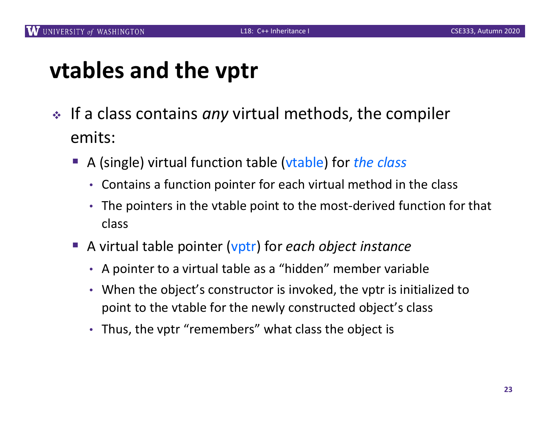## **vtables and the vptr**

- ∗ If a class contains *any* virtual methods, the compiler emits:
	- § A (single) virtual function table (vtable) for *the class*
		- Contains a function pointer for each virtual method in the class
		- The pointers in the vtable point to the most-derived function for that class
	- A virtual table pointer (vptr) for *each object instance* 
		- A pointer to a virtual table as a "hidden" member variable
		- When the object's constructor is invoked, the vptr is initialized to point to the vtable for the newly constructed object's class
		- Thus, the vptr "remembers" what class the object is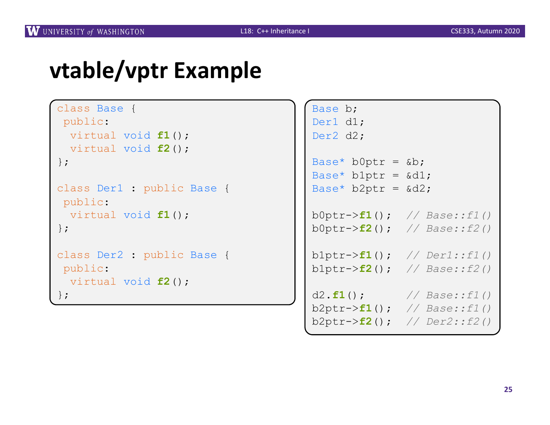# **vtable/vptr Example**

```
class Base {
public:
 virtual void f1();
 virtual void f2();
};
class Der1 : public Base {
public:
 virtual void f1();
};
class Der2 : public Base {
public:
 virtual void f2();
};
```

```
Base b;
Der1 d1;
Der2 d2;
Base* b0ptr = &\&b;
Base* b1ptr = \&d1;Base* b2ptr = \delta d2;b0ptr->f1(); // Base::f1()
b0ptr->f2(); // Base::f2()
b1ptr->f1(); // Der1::f1()
b1ptr->f2(); // Base::f2()
d2.f1(); // Base::f1()
b2ptr->f1(); // Base::f1()
b2ptr->f2(); // Der2::f2()
```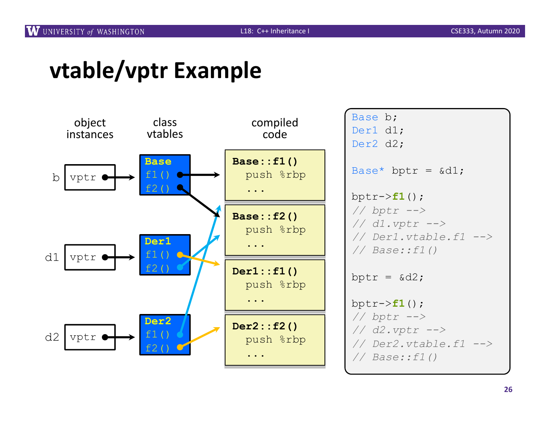# **vtable/vptr Example**

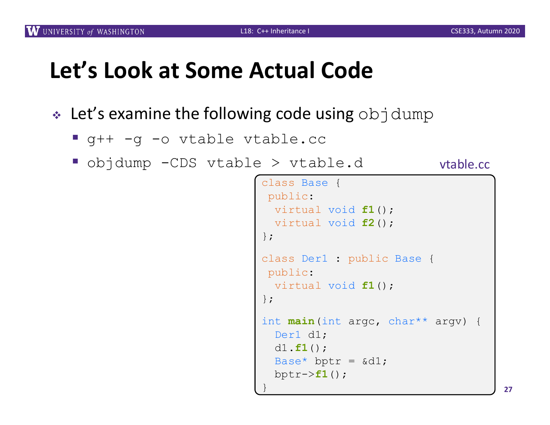# **Let's Look at Some Actual Code**

- $\cdot$  Let's examine the following code using objdump
	- § g++ -g -o vtable vtable.cc
	- § objdump -CDS vtable > vtable.d

```
vtable.cc
```

```
class Base {
 public:
 virtual void f1();
 virtual void f2();
};
class Der1 : public Base {
public:
 virtual void f1();
};
int main(int argc, char** argv) {
  Der1 d1;
  d1.f1();
 Base* bptr = \&d1;bptr->f1();
}
```